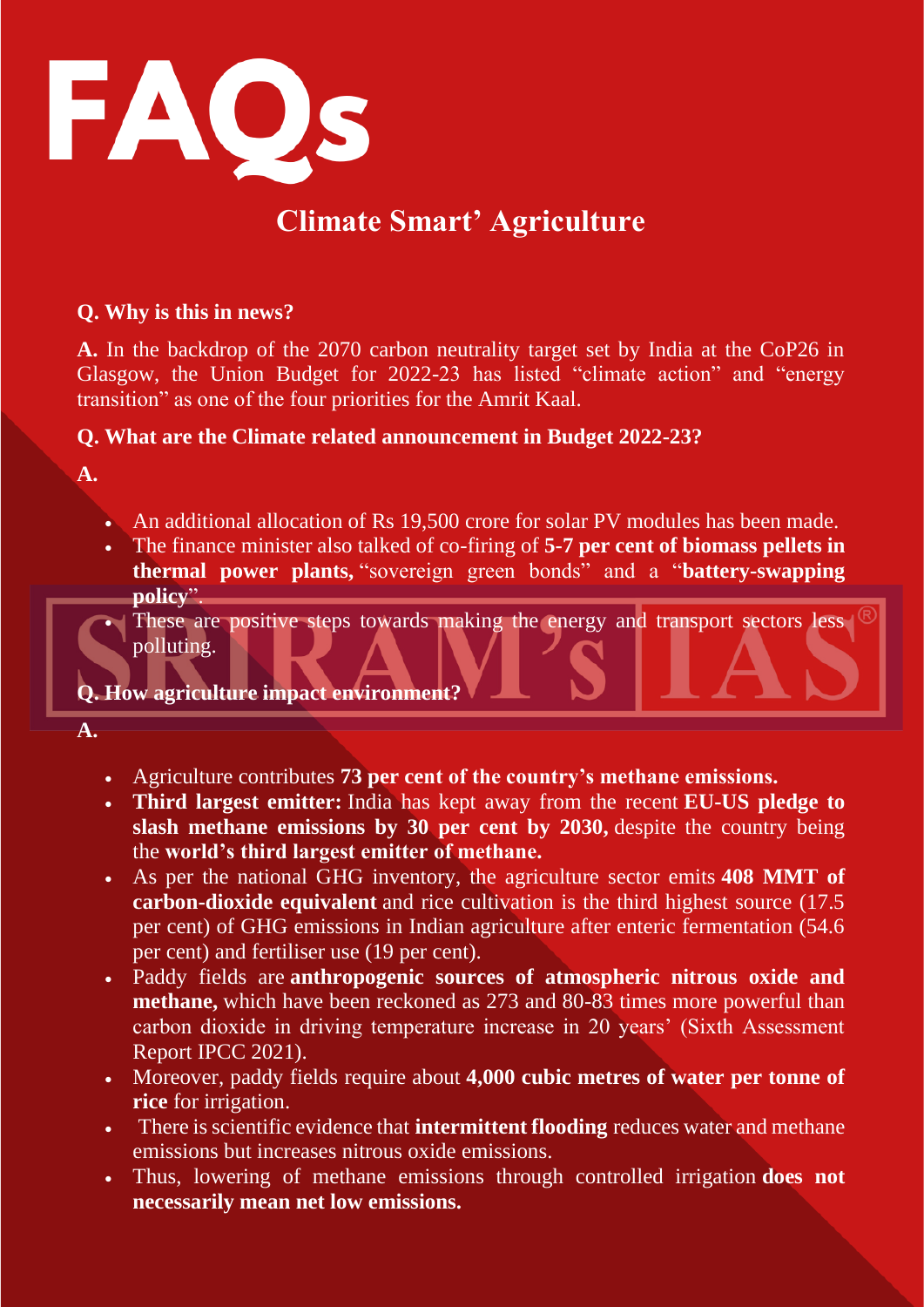

# **Climate Smart' Agriculture**

## **Q. Why is this in news?**

**A.** In the backdrop of the 2070 carbon neutrality target set by India at the CoP26 in Glasgow, the Union Budget for 2022-23 has listed "climate action" and "energy transition" as one of the four priorities for the Amrit Kaal.

## **Q. What are the Climate related announcement in Budget 2022-23?**

**A.** 

- An additional allocation of Rs 19,500 crore for solar PV modules has been made.
- The finance minister also talked of co-firing of **5-7 per cent of biomass pellets in thermal power plants,** "sovereign green bonds" and a "**battery-swapping policy**".

• These are positive steps towards making the energy and transport sectors less polluting.

## **Q. How agriculture impact environment?**

**A.** 

- Agriculture contributes **73 per cent of the country's methane emissions.**
- **Third largest emitter:** India has kept away from the recent **EU-US pledge to slash methane emissions by 30 per cent by 2030,** despite the country being the **world's third largest emitter of methane.**
- As per the national GHG inventory, the agriculture sector emits **408 MMT of carbon-dioxide equivalent** and rice cultivation is the third highest source (17.5 per cent) of GHG emissions in Indian agriculture after enteric fermentation (54.6 per cent) and fertiliser use (19 per cent).
- Paddy fields are **anthropogenic sources of atmospheric nitrous oxide and methane,** which have been reckoned as 273 and 80-83 times more powerful than carbon dioxide in driving temperature increase in 20 years' (Sixth Assessment Report IPCC 2021).
- Moreover, paddy fields require about **4,000 cubic metres of water per tonne of rice** for irrigation.
- There is scientific evidence that **intermittent flooding** reduces water and methane emissions but increases nitrous oxide emissions.
- Thus, lowering of methane emissions through controlled irrigation **does not necessarily mean net low emissions.**